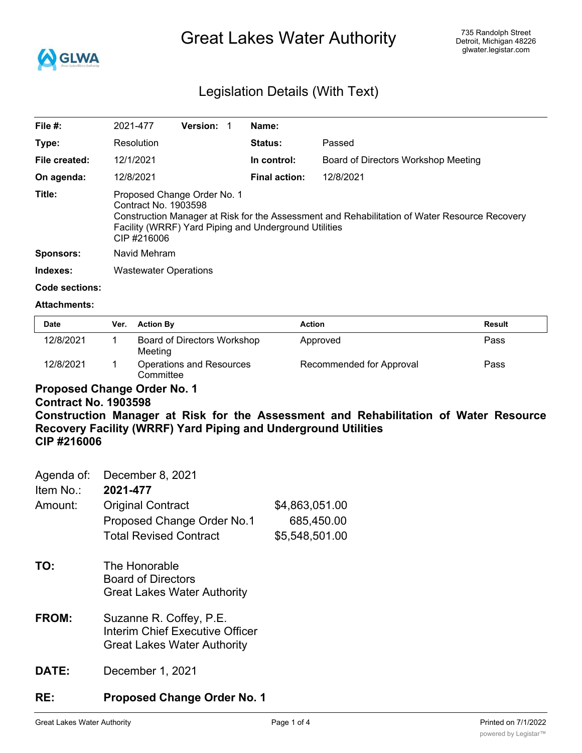

# Great Lakes Water Authority

## Legislation Details (With Text)

| File $#$ :       | 2021-477                                                                                                                                                                                                                     | <b>Version:</b> |  | Name:                |                                     |
|------------------|------------------------------------------------------------------------------------------------------------------------------------------------------------------------------------------------------------------------------|-----------------|--|----------------------|-------------------------------------|
| Type:            | Resolution                                                                                                                                                                                                                   |                 |  | Status:              | Passed                              |
| File created:    | 12/1/2021                                                                                                                                                                                                                    |                 |  | In control:          | Board of Directors Workshop Meeting |
| On agenda:       | 12/8/2021                                                                                                                                                                                                                    |                 |  | <b>Final action:</b> | 12/8/2021                           |
| Title:           | Proposed Change Order No. 1<br>Contract No. 1903598<br>Construction Manager at Risk for the Assessment and Rehabilitation of Water Resource Recovery<br>Facility (WRRF) Yard Piping and Underground Utilities<br>CIP #216006 |                 |  |                      |                                     |
| <b>Sponsors:</b> | Navid Mehram                                                                                                                                                                                                                 |                 |  |                      |                                     |
| Indexes:         | <b>Wastewater Operations</b>                                                                                                                                                                                                 |                 |  |                      |                                     |

## **Code sections:**

#### **Attachments:**

| <b>Date</b> | Ver. | <b>Action By</b>                       | Action                   | <b>Result</b> |
|-------------|------|----------------------------------------|--------------------------|---------------|
| 12/8/2021   |      | Board of Directors Workshop<br>Meeting | Approved                 | Pass          |
| 12/8/2021   |      | Operations and Resources<br>Committee  | Recommended for Approval | Pass          |

# **Proposed Change Order No. 1**

## **Contract No. 1903598**

**Construction Manager at Risk for the Assessment and Rehabilitation of Water Resource Recovery Facility (WRRF) Yard Piping and Underground Utilities CIP #216006**

| Agenda of:   | December 8, 2021                                                                                 |                |
|--------------|--------------------------------------------------------------------------------------------------|----------------|
| Item No.:    | 2021-477                                                                                         |                |
| Amount:      | <b>Original Contract</b>                                                                         | \$4,863,051.00 |
|              | Proposed Change Order No.1                                                                       | 685,450.00     |
|              | <b>Total Revised Contract</b>                                                                    | \$5,548,501.00 |
| TO:          | The Honorable<br><b>Board of Directors</b><br><b>Great Lakes Water Authority</b>                 |                |
| <b>FROM:</b> | Suzanne R. Coffey, P.E.<br>Interim Chief Executive Officer<br><b>Great Lakes Water Authority</b> |                |
| DAIE:        | December 1, 2021                                                                                 |                |

## **RE: Proposed Change Order No. 1**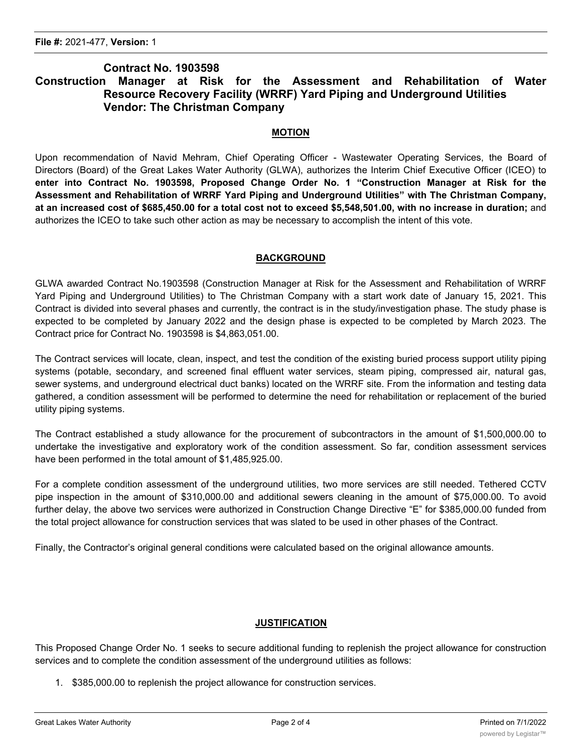## **Contract No. 1903598 Construction Manager at Risk for the Assessment and Rehabilitation of Water Resource Recovery Facility (WRRF) Yard Piping and Underground Utilities Vendor: The Christman Company**

#### **MOTION**

Upon recommendation of Navid Mehram, Chief Operating Officer - Wastewater Operating Services, the Board of Directors (Board) of the Great Lakes Water Authority (GLWA), authorizes the Interim Chief Executive Officer (ICEO) to **enter into Contract No. 1903598, Proposed Change Order No. 1 "Construction Manager at Risk for the Assessment and Rehabilitation of WRRF Yard Piping and Underground Utilities" with The Christman Company,** at an increased cost of \$685,450.00 for a total cost not to exceed \$5,548,501.00, with no increase in duration; and authorizes the ICEO to take such other action as may be necessary to accomplish the intent of this vote.

#### **BACKGROUND**

GLWA awarded Contract No.1903598 (Construction Manager at Risk for the Assessment and Rehabilitation of WRRF Yard Piping and Underground Utilities) to The Christman Company with a start work date of January 15, 2021. This Contract is divided into several phases and currently, the contract is in the study/investigation phase. The study phase is expected to be completed by January 2022 and the design phase is expected to be completed by March 2023. The Contract price for Contract No. 1903598 is \$4,863,051.00.

The Contract services will locate, clean, inspect, and test the condition of the existing buried process support utility piping systems (potable, secondary, and screened final effluent water services, steam piping, compressed air, natural gas, sewer systems, and underground electrical duct banks) located on the WRRF site. From the information and testing data gathered, a condition assessment will be performed to determine the need for rehabilitation or replacement of the buried utility piping systems.

The Contract established a study allowance for the procurement of subcontractors in the amount of \$1,500,000.00 to undertake the investigative and exploratory work of the condition assessment. So far, condition assessment services have been performed in the total amount of \$1,485,925.00.

For a complete condition assessment of the underground utilities, two more services are still needed. Tethered CCTV pipe inspection in the amount of \$310,000.00 and additional sewers cleaning in the amount of \$75,000.00. To avoid further delay, the above two services were authorized in Construction Change Directive "E" for \$385,000.00 funded from the total project allowance for construction services that was slated to be used in other phases of the Contract.

Finally, the Contractor's original general conditions were calculated based on the original allowance amounts.

#### **JUSTIFICATION**

This Proposed Change Order No. 1 seeks to secure additional funding to replenish the project allowance for construction services and to complete the condition assessment of the underground utilities as follows:

1. \$385,000.00 to replenish the project allowance for construction services.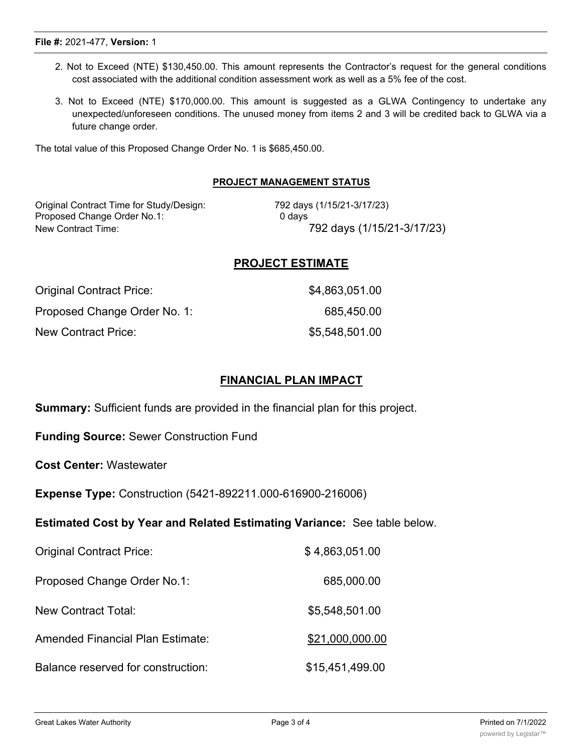Great Lakes Water Authority **Page 3 of 4** Printed on 7/1/2022 Page 3 of 4

#### **File #:** 2021-477, **Version:** 1

- 2. Not to Exceed (NTE) \$130,450.00. This amount represents the Contractor's request for the general conditions cost associated with the additional condition assessment work as well as a 5% fee of the cost.
- 3. Not to Exceed (NTE) \$170,000.00. This amount is suggested as a GLWA Contingency to undertake any unexpected/unforeseen conditions. The unused money from items 2 and 3 will be credited back to GLWA via a future change order.

The total value of this Proposed Change Order No. 1 is \$685,450.00.

## **PROJECT MANAGEMENT STATUS**

Original Contract Time for Study/Design: 792 days (1/15/21-3/17/23)<br>Proposed Change Order No.1: 0 days 0 days Proposed Change Order No.1:

New Contract Time: 792 days (1/15/21-3/17/23)

## **PROJECT ESTIMATE**

| Original Contract Price:     | \$4,863,051.00 |
|------------------------------|----------------|
| Proposed Change Order No. 1: | 685,450.00     |
| <b>New Contract Price:</b>   | \$5,548,501.00 |

## **FINANCIAL PLAN IMPACT**

**Summary:** Sufficient funds are provided in the financial plan for this project.

**Funding Source:** Sewer Construction Fund

**Cost Center:** Wastewater

**Expense Type:** Construction (5421-892211.000-616900-216006)

## **Estimated Cost by Year and Related Estimating Variance:** See table below.

| <b>Original Contract Price:</b>    | \$4,863,051.00  |
|------------------------------------|-----------------|
| Proposed Change Order No.1:        | 685,000.00      |
| New Contract Total:                | \$5,548,501.00  |
| Amended Financial Plan Estimate:   | \$21,000,000.00 |
| Balance reserved for construction: | \$15,451,499.00 |